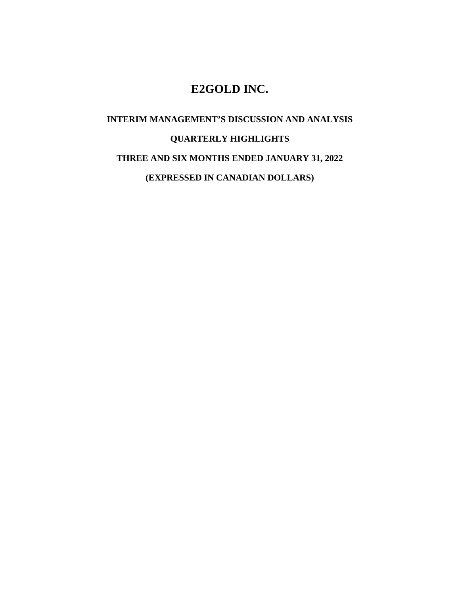# **E2GOLD INC.**

# **INTERIM MANAGEMENT'S DISCUSSION AND ANALYSIS QUARTERLY HIGHLIGHTS THREE AND SIX MONTHS ENDED JANUARY 31, 2022 (EXPRESSED IN CANADIAN DOLLARS)**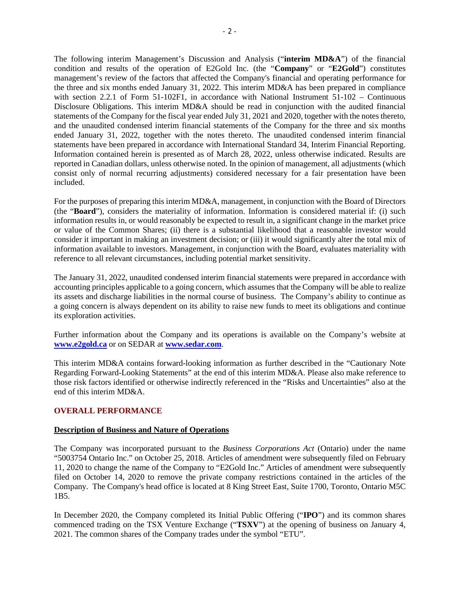The following interim Management's Discussion and Analysis ("**interim MD&A**") of the financial condition and results of the operation of E2Gold Inc. (the "**Company**" or "**E2Gold**") constitutes management's review of the factors that affected the Company's financial and operating performance for the three and six months ended January 31, 2022. This interim MD&A has been prepared in compliance with section 2.2.1 of Form 51-102F1, in accordance with National Instrument  $51-102$  – Continuous Disclosure Obligations. This interim MD&A should be read in conjunction with the audited financial statements of the Company for the fiscal year ended July 31, 2021 and 2020, together with the notes thereto, and the unaudited condensed interim financial statements of the Company for the three and six months ended January 31, 2022, together with the notes thereto. The unaudited condensed interim financial statements have been prepared in accordance with International Standard 34, Interim Financial Reporting. Information contained herein is presented as of March 28, 2022, unless otherwise indicated. Results are reported in Canadian dollars, unless otherwise noted. In the opinion of management, all adjustments (which consist only of normal recurring adjustments) considered necessary for a fair presentation have been included.

For the purposes of preparing this interim MD&A, management, in conjunction with the Board of Directors (the "**Board**"), considers the materiality of information. Information is considered material if: (i) such information results in, or would reasonably be expected to result in, a significant change in the market price or value of the Common Shares; (ii) there is a substantial likelihood that a reasonable investor would consider it important in making an investment decision; or (iii) it would significantly alter the total mix of information available to investors. Management, in conjunction with the Board, evaluates materiality with reference to all relevant circumstances, including potential market sensitivity.

The January 31, 2022, unaudited condensed interim financial statements were prepared in accordance with accounting principles applicable to a going concern, which assumes that the Company will be able to realize its assets and discharge liabilities in the normal course of business. The Company's ability to continue as a going concern is always dependent on its ability to raise new funds to meet its obligations and continue its exploration activities.

Further information about the Company and its operations is available on the Company's website at **[www.e2gold.ca](http://www.xxx.com/)** or on SEDAR at **[www.sedar.com](http://www.sedar.com/)**.

This interim MD&A contains forward-looking information as further described in the "Cautionary Note Regarding Forward-Looking Statements" at the end of this interim MD&A. Please also make reference to those risk factors identified or otherwise indirectly referenced in the "Risks and Uncertainties" also at the end of this interim MD&A.

# **OVERALL PERFORMANCE**

# **Description of Business and Nature of Operations**

The Company was incorporated pursuant to the *Business Corporations Act* (Ontario) under the name "5003754 Ontario Inc." on October 25, 2018. Articles of amendment were subsequently filed on February 11, 2020 to change the name of the Company to "E2Gold Inc." Articles of amendment were subsequently filed on October 14, 2020 to remove the private company restrictions contained in the articles of the Company. The Company's head office is located at 8 King Street East, Suite 1700, Toronto, Ontario M5C 1B5.

In December 2020, the Company completed its Initial Public Offering ("**IPO**") and its common shares commenced trading on the TSX Venture Exchange ("**TSXV**") at the opening of business on January 4, 2021. The common shares of the Company trades under the symbol "ETU".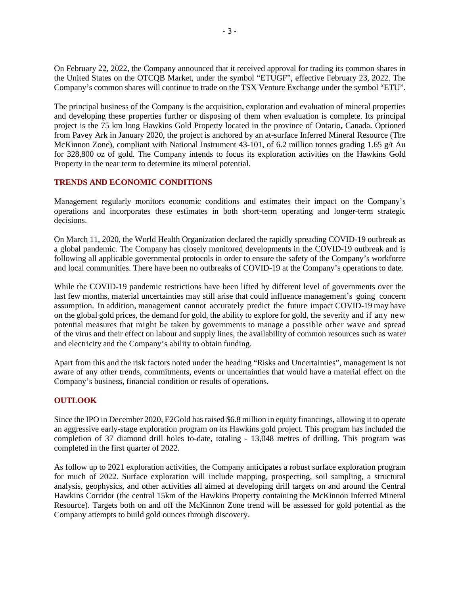On February 22, 2022, the Company announced that it received approval for trading its common shares in the United States on the OTCQB Market, under the symbol "ETUGF", effective February 23, 2022. The Company's common shares will continue to trade on the TSX Venture Exchange under the symbol "ETU".

The principal business of the Company is the acquisition, exploration and evaluation of mineral properties and developing these properties further or disposing of them when evaluation is complete. Its principal project is the 75 km long Hawkins Gold Property located in the province of Ontario, Canada. Optioned from Pavey Ark in January 2020, the project is anchored by an at-surface Inferred Mineral Resource (The McKinnon Zone), compliant with National Instrument 43-101, of 6.2 million tonnes grading 1.65 g/t Au for 328,800 oz of gold. The Company intends to focus its exploration activities on the Hawkins Gold Property in the near term to determine its mineral potential.

# **TRENDS AND ECONOMIC CONDITIONS**

Management regularly monitors economic conditions and estimates their impact on the Company's operations and incorporates these estimates in both short-term operating and longer-term strategic decisions.

On March 11, 2020, the World Health Organization declared the rapidly spreading COVID-19 outbreak as a global pandemic. The Company has closely monitored developments in the COVID-19 outbreak and is following all applicable governmental protocols in order to ensure the safety of the Company's workforce and local communities. There have been no outbreaks of COVID-19 at the Company's operations to date.

While the COVID-19 pandemic restrictions have been lifted by different level of governments over the last few months, material uncertainties may still arise that could influence management's going concern assumption. In addition, management cannot accurately predict the future impact COVID-19 may have on the global gold prices, the demand for gold, the ability to explore for gold, the severity and if any new potential measures that might be taken by governments to manage a possible other wave and spread of the virus and their effect on labour and supply lines, the availability of common resources such as water and electricity and the Company's ability to obtain funding.

Apart from this and the risk factors noted under the heading "Risks and Uncertainties", management is not aware of any other trends, commitments, events or uncertainties that would have a material effect on the Company's business, financial condition or results of operations.

# **OUTLOOK**

Since the IPO in December 2020, E2Gold has raised \$6.8 million in equity financings, allowing it to operate an aggressive early-stage exploration program on its Hawkins gold project. This program has included the completion of 37 diamond drill holes to-date, totaling - 13,048 metres of drilling. This program was completed in the first quarter of 2022.

As follow up to 2021 exploration activities, the Company anticipates a robust surface exploration program for much of 2022. Surface exploration will include mapping, prospecting, soil sampling, a structural analysis, geophysics, and other activities all aimed at developing drill targets on and around the Central Hawkins Corridor (the central 15km of the Hawkins Property containing the McKinnon Inferred Mineral Resource). Targets both on and off the McKinnon Zone trend will be assessed for gold potential as the Company attempts to build gold ounces through discovery.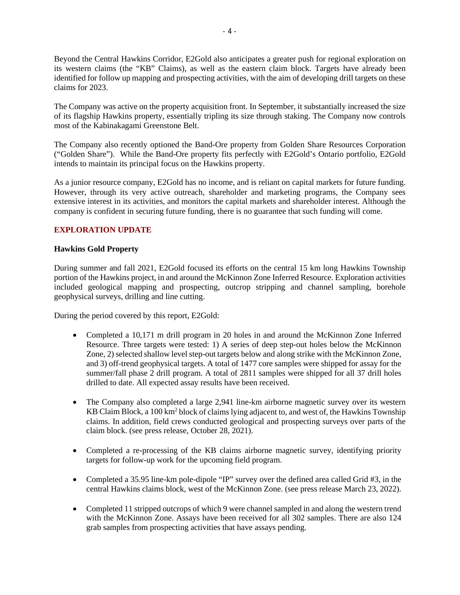Beyond the Central Hawkins Corridor, E2Gold also anticipates a greater push for regional exploration on its western claims (the "KB" Claims), as well as the eastern claim block. Targets have already been identified for follow up mapping and prospecting activities, with the aim of developing drill targets on these claims for 2023.

The Company was active on the property acquisition front. In September, it substantially increased the size of its flagship Hawkins property, essentially tripling its size through staking. The Company now controls most of the Kabinakagami Greenstone Belt.

The Company also recently optioned the Band-Ore property from Golden Share Resources Corporation ("Golden Share"). While the Band-Ore property fits perfectly with E2Gold's Ontario portfolio, E2Gold intends to maintain its principal focus on the Hawkins property.

As a junior resource company, E2Gold has no income, and is reliant on capital markets for future funding. However, through its very active outreach, shareholder and marketing programs, the Company sees extensive interest in its activities, and monitors the capital markets and shareholder interest. Although the company is confident in securing future funding, there is no guarantee that such funding will come.

# **EXPLORATION UPDATE**

# **Hawkins Gold Property**

During summer and fall 2021, E2Gold focused its efforts on the central 15 km long Hawkins Township portion of the Hawkins project, in and around the McKinnon Zone Inferred Resource. Exploration activities included geological mapping and prospecting, outcrop stripping and channel sampling, borehole geophysical surveys, drilling and line cutting.

During the period covered by this report, E2Gold:

- Completed a 10,171 m drill program in 20 holes in and around the McKinnon Zone Inferred Resource. Three targets were tested: 1) A series of deep step-out holes below the McKinnon Zone, 2) selected shallow level step-out targets below and along strike with the McKinnon Zone, and 3) off-trend geophysical targets. A total of 1477 core samples were shipped for assay for the summer/fall phase 2 drill program. A total of 2811 samples were shipped for all 37 drill holes drilled to date. All expected assay results have been received.
- The Company also completed a large 2,941 line-km airborne magnetic survey over its western KB Claim Block, a 100 km<sup>2</sup> block of claims lying adjacent to, and west of, the Hawkins Township claims. In addition, field crews conducted geological and prospecting surveys over parts of the claim block. (see press release, October 28, 2021).
- Completed a re-processing of the KB claims airborne magnetic survey, identifying priority targets for follow-up work for the upcoming field program.
- Completed a 35.95 line-km pole-dipole "IP" survey over the defined area called Grid #3, in the central Hawkins claims block, west of the McKinnon Zone. (see press release March 23, 2022).
- Completed 11 stripped outcrops of which 9 were channel sampled in and along the western trend with the McKinnon Zone. Assays have been received for all 302 samples. There are also 124 grab samples from prospecting activities that have assays pending.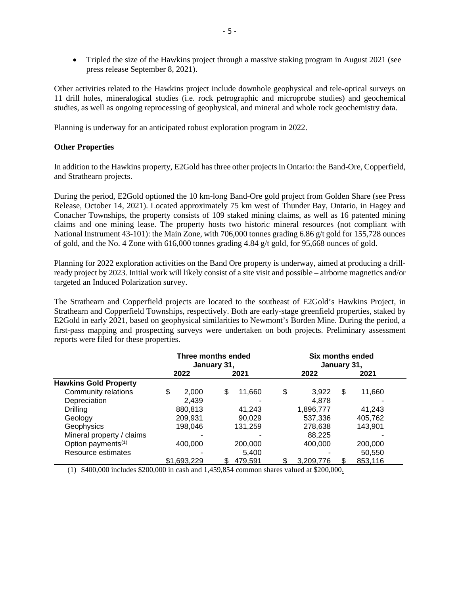• Tripled the size of the Hawkins project through a massive staking program in August 2021 (see press release September 8, 2021).

Other activities related to the Hawkins project include downhole geophysical and tele-optical surveys on 11 drill holes, mineralogical studies (i.e. rock petrographic and microprobe studies) and geochemical studies, as well as ongoing reprocessing of geophysical, and mineral and whole rock geochemistry data.

Planning is underway for an anticipated robust exploration program in 2022.

# **Other Properties**

In addition to the Hawkins property, E2Gold has three other projects in Ontario: the Band-Ore, Copperfield, and Strathearn projects.

During the period, E2Gold optioned the 10 km-long Band-Ore gold project from Golden Share (see Press Release, October 14, 2021). Located approximately 75 km west of Thunder Bay, Ontario, in Hagey and Conacher Townships, the property consists of 109 staked mining claims, as well as 16 patented mining claims and one mining lease. The property hosts two historic mineral resources (not compliant with National Instrument 43-101): the Main Zone, with 706,000 tonnes grading 6.86 g/t gold for 155,728 ounces of gold, and the No. 4 Zone with 616,000 tonnes grading 4.84 g/t gold, for 95,668 ounces of gold.

Planning for 2022 exploration activities on the Band Ore property is underway, aimed at producing a drillready project by 2023. Initial work will likely consist of a site visit and possible – airborne magnetics and/or targeted an Induced Polarization survey.

The Strathearn and Copperfield projects are located to the southeast of E2Gold's Hawkins Project, in Strathearn and Copperfield Townships, respectively. Both are early-stage greenfield properties, staked by E2Gold in early 2021, based on geophysical similarities to Newmont's Borden Mine. During the period, a first-pass mapping and prospecting surveys were undertaken on both projects. Preliminary assessment reports were filed for these properties.

|                                | Three months ended<br>January 31, |             |   | Six months ended<br>January 31, |    |           |    |         |  |
|--------------------------------|-----------------------------------|-------------|---|---------------------------------|----|-----------|----|---------|--|
|                                | 2022<br>2021                      |             |   | 2022                            |    | 2021      |    |         |  |
| <b>Hawkins Gold Property</b>   |                                   |             |   |                                 |    |           |    |         |  |
| Community relations            | \$                                | 2,000       | S | 11,660                          | \$ | 3,922     | \$ | 11,660  |  |
| Depreciation                   |                                   | 2.439       |   |                                 |    | 4,878     |    |         |  |
| Drilling                       | 880,813                           |             |   | 41,243                          |    | 1,896,777 |    | 41,243  |  |
| Geology                        | 209,931                           |             |   | 90,029                          |    | 537,336   |    | 405,762 |  |
| Geophysics                     | 198,046                           |             |   | 131,259                         |    | 278,638   |    | 143,901 |  |
| Mineral property / claims      |                                   |             |   |                                 |    | 88,225    |    |         |  |
| Option payments <sup>(1)</sup> | 400,000                           |             |   | 200,000                         |    | 400,000   |    | 200,000 |  |
| Resource estimates             |                                   |             |   | 5,400                           |    |           |    | 50,550  |  |
|                                |                                   | \$1.693.229 |   | 479.591                         |    | 3.209.776 |    | 853,116 |  |

(1) \$400,000 includes \$200,000 in cash and 1,459,854 common shares valued at \$200,000.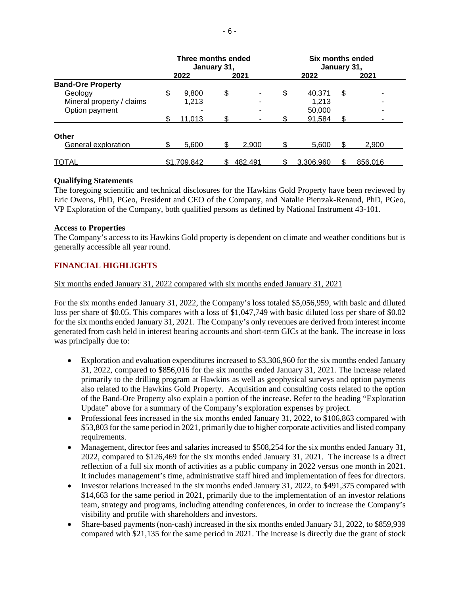|                           | Three months ended<br>January 31, |             |    | Six months ended<br>January 31, |    |           |    |         |
|---------------------------|-----------------------------------|-------------|----|---------------------------------|----|-----------|----|---------|
|                           |                                   | 2022        |    | 2021                            |    | 2022      |    | 2021    |
| <b>Band-Ore Property</b>  |                                   |             |    |                                 |    |           |    |         |
| Geology                   | \$                                | 9,800       | \$ |                                 | \$ | 40,371    | \$ |         |
| Mineral property / claims |                                   | 1,213       |    |                                 |    | 1,213     |    |         |
| Option payment            |                                   |             |    |                                 |    | 50,000    |    |         |
|                           |                                   | 11,013      |    |                                 |    | 91,584    |    |         |
| Other                     |                                   |             |    |                                 |    |           |    |         |
| General exploration       |                                   | 5,600       |    | 2,900                           |    | 5,600     | S. | 2,900   |
| TOTAL                     |                                   | \$1,709,842 |    | 482.491                         |    | 3.306.960 |    | 856.016 |

#### **Qualifying Statements**

The foregoing scientific and technical disclosures for the Hawkins Gold Property have been reviewed by Eric Owens, PhD, PGeo, President and CEO of the Company, and Natalie Pietrzak-Renaud, PhD, PGeo, VP Exploration of the Company, both qualified persons as defined by National Instrument 43-101.

#### **Access to Properties**

The Company's access to its Hawkins Gold property is dependent on climate and weather conditions but is generally accessible all year round.

# **FINANCIAL HIGHLIGHTS**

Six months ended January 31, 2022 compared with six months ended January 31, 2021

For the six months ended January 31, 2022, the Company's loss totaled \$5,056,959, with basic and diluted loss per share of \$0.05. This compares with a loss of \$1,047,749 with basic diluted loss per share of \$0.02 for the six months ended January 31, 2021. The Company's only revenues are derived from interest income generated from cash held in interest bearing accounts and short-term GICs at the bank. The increase in loss was principally due to:

- Exploration and evaluation expenditures increased to \$3,306,960 for the six months ended January 31, 2022, compared to \$856,016 for the six months ended January 31, 2021. The increase related primarily to the drilling program at Hawkins as well as geophysical surveys and option payments also related to the Hawkins Gold Property. Acquisition and consulting costs related to the option of the Band-Ore Property also explain a portion of the increase. Refer to the heading "Exploration Update" above for a summary of the Company's exploration expenses by project.
- Professional fees increased in the six months ended January 31, 2022, to \$106,863 compared with \$53,803 for the same period in 2021, primarily due to higher corporate activities and listed company requirements.
- Management, director fees and salaries increased to \$508,254 for the six months ended January 31, 2022, compared to \$126,469 for the six months ended January 31, 2021. The increase is a direct reflection of a full six month of activities as a public company in 2022 versus one month in 2021. It includes management's time, administrative staff hired and implementation of fees for directors.
- Investor relations increased in the six months ended January 31, 2022, to \$491,375 compared with \$14,663 for the same period in 2021, primarily due to the implementation of an investor relations team, strategy and programs, including attending conferences, in order to increase the Company's visibility and profile with shareholders and investors.
- Share-based payments (non-cash) increased in the six months ended January 31, 2022, to \$859,939 compared with \$21,135 for the same period in 2021. The increase is directly due the grant of stock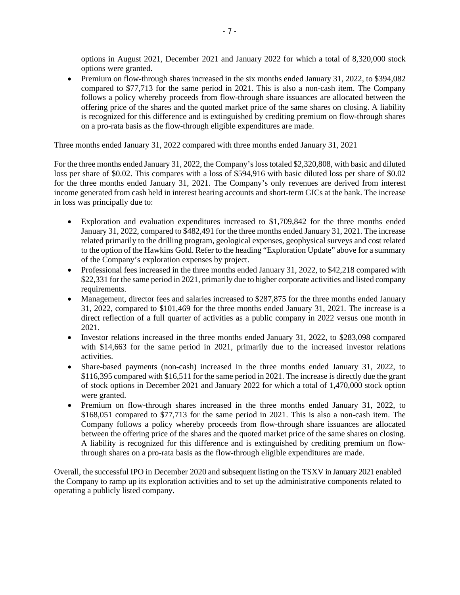options in August 2021, December 2021 and January 2022 for which a total of 8,320,000 stock options were granted.

• Premium on flow-through shares increased in the six months ended January 31, 2022, to \$394,082 compared to \$77,713 for the same period in 2021. This is also a non-cash item. The Company follows a policy whereby proceeds from flow-through share issuances are allocated between the offering price of the shares and the quoted market price of the same shares on closing. A liability is recognized for this difference and is extinguished by crediting premium on flow-through shares on a pro-rata basis as the flow-through eligible expenditures are made.

# Three months ended January 31, 2022 compared with three months ended January 31, 2021

For the three months ended January 31, 2022, the Company's loss totaled \$2,320,808, with basic and diluted loss per share of \$0.02. This compares with a loss of \$594,916 with basic diluted loss per share of \$0.02 for the three months ended January 31, 2021. The Company's only revenues are derived from interest income generated from cash held in interest bearing accounts and short-term GICs at the bank. The increase in loss was principally due to:

- Exploration and evaluation expenditures increased to \$1,709,842 for the three months ended January 31, 2022, compared to \$482,491 for the three months ended January 31, 2021. The increase related primarily to the drilling program, geological expenses, geophysical surveys and cost related to the option of the Hawkins Gold. Refer to the heading "Exploration Update" above for a summary of the Company's exploration expenses by project.
- Professional fees increased in the three months ended January 31, 2022, to \$42,218 compared with \$22,331 for the same period in 2021, primarily due to higher corporate activities and listed company requirements.
- Management, director fees and salaries increased to \$287,875 for the three months ended January 31, 2022, compared to \$101,469 for the three months ended January 31, 2021. The increase is a direct reflection of a full quarter of activities as a public company in 2022 versus one month in 2021.
- Investor relations increased in the three months ended January 31, 2022, to \$283,098 compared with \$14,663 for the same period in 2021, primarily due to the increased investor relations activities.
- Share-based payments (non-cash) increased in the three months ended January 31, 2022, to \$116,395 compared with \$16,511 for the same period in 2021. The increase is directly due the grant of stock options in December 2021 and January 2022 for which a total of 1,470,000 stock option were granted.
- Premium on flow-through shares increased in the three months ended January 31, 2022, to \$168,051 compared to \$77,713 for the same period in 2021. This is also a non-cash item. The Company follows a policy whereby proceeds from flow-through share issuances are allocated between the offering price of the shares and the quoted market price of the same shares on closing. A liability is recognized for this difference and is extinguished by crediting premium on flowthrough shares on a pro-rata basis as the flow-through eligible expenditures are made.

Overall, the successful IPO in December 2020 and subsequent listing on the TSXV in January 2021 enabled the Company to ramp up its exploration activities and to set up the administrative components related to operating a publicly listed company.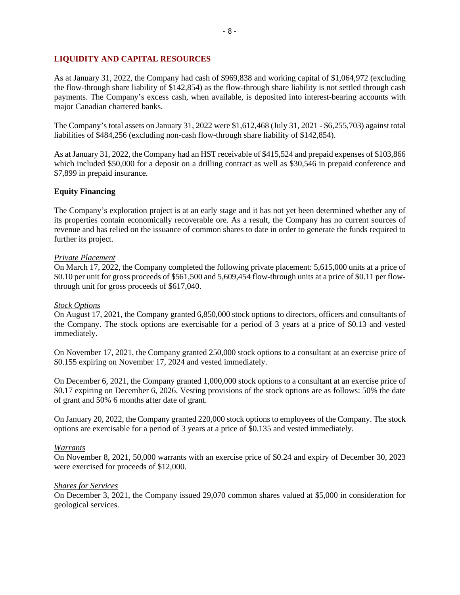# **LIQUIDITY AND CAPITAL RESOURCES**

As at January 31, 2022, the Company had cash of \$969,838 and working capital of \$1,064,972 (excluding the flow-through share liability of \$142,854) as the flow-through share liability is not settled through cash payments. The Company's excess cash, when available, is deposited into interest-bearing accounts with major Canadian chartered banks.

The Company's total assets on January 31, 2022 were \$1,612,468 (July 31, 2021 - \$6,255,703) against total liabilities of \$484,256 (excluding non-cash flow-through share liability of \$142,854).

As at January 31, 2022, the Company had an HST receivable of \$415,524 and prepaid expenses of \$103,866 which included \$50,000 for a deposit on a drilling contract as well as \$30,546 in prepaid conference and \$7,899 in prepaid insurance.

#### **Equity Financing**

The Company's exploration project is at an early stage and it has not yet been determined whether any of its properties contain economically recoverable ore. As a result, the Company has no current sources of revenue and has relied on the issuance of common shares to date in order to generate the funds required to further its project.

#### *Private Placement*

On March 17, 2022, the Company completed the following private placement: 5,615,000 units at a price of \$0.10 per unit for gross proceeds of \$561,500 and 5,609,454 flow-through units at a price of \$0.11 per flowthrough unit for gross proceeds of \$617,040.

#### *Stock Options*

On August 17, 2021, the Company granted 6,850,000 stock options to directors, officers and consultants of the Company. The stock options are exercisable for a period of 3 years at a price of \$0.13 and vested immediately.

On November 17, 2021, the Company granted 250,000 stock options to a consultant at an exercise price of \$0.155 expiring on November 17, 2024 and vested immediately.

On December 6, 2021, the Company granted 1,000,000 stock options to a consultant at an exercise price of \$0.17 expiring on December 6, 2026. Vesting provisions of the stock options are as follows: 50% the date of grant and 50% 6 months after date of grant.

On January 20, 2022, the Company granted 220,000 stock options to employees of the Company. The stock options are exercisable for a period of 3 years at a price of \$0.135 and vested immediately.

#### *Warrants*

On November 8, 2021, 50,000 warrants with an exercise price of \$0.24 and expiry of December 30, 2023 were exercised for proceeds of \$12,000.

#### *Shares for Services*

On December 3, 2021, the Company issued 29,070 common shares valued at \$5,000 in consideration for geological services.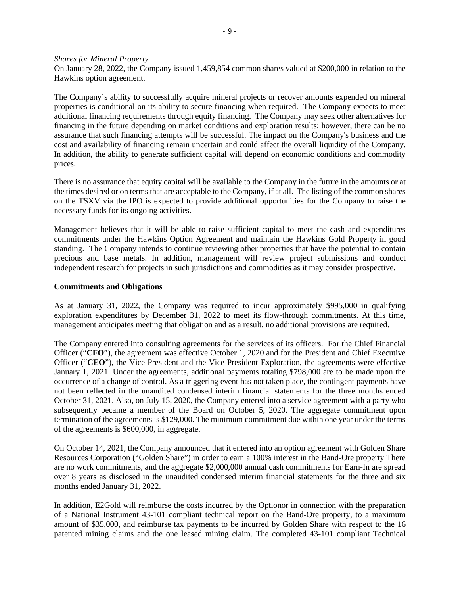#### *Shares for Mineral Property*

On January 28, 2022, the Company issued 1,459,854 common shares valued at \$200,000 in relation to the Hawkins option agreement.

The Company's ability to successfully acquire mineral projects or recover amounts expended on mineral properties is conditional on its ability to secure financing when required. The Company expects to meet additional financing requirements through equity financing. The Company may seek other alternatives for financing in the future depending on market conditions and exploration results; however, there can be no assurance that such financing attempts will be successful. The impact on the Company's business and the cost and availability of financing remain uncertain and could affect the overall liquidity of the Company. In addition, the ability to generate sufficient capital will depend on economic conditions and commodity prices.

There is no assurance that equity capital will be available to the Company in the future in the amounts or at the times desired or on terms that are acceptable to the Company, if at all. The listing of the common shares on the TSXV via the IPO is expected to provide additional opportunities for the Company to raise the necessary funds for its ongoing activities.

Management believes that it will be able to raise sufficient capital to meet the cash and expenditures commitments under the Hawkins Option Agreement and maintain the Hawkins Gold Property in good standing. The Company intends to continue reviewing other properties that have the potential to contain precious and base metals. In addition, management will review project submissions and conduct independent research for projects in such jurisdictions and commodities as it may consider prospective.

#### **Commitments and Obligations**

As at January 31, 2022, the Company was required to incur approximately \$995,000 in qualifying exploration expenditures by December 31, 2022 to meet its flow-through commitments. At this time, management anticipates meeting that obligation and as a result, no additional provisions are required.

The Company entered into consulting agreements for the services of its officers. For the Chief Financial Officer ("**CFO**"), the agreement was effective October 1, 2020 and for the President and Chief Executive Officer ("**CEO**"), the Vice-President and the Vice-President Exploration, the agreements were effective January 1, 2021. Under the agreements, additional payments totaling \$798,000 are to be made upon the occurrence of a change of control. As a triggering event has not taken place, the contingent payments have not been reflected in the unaudited condensed interim financial statements for the three months ended October 31, 2021. Also, on July 15, 2020, the Company entered into a service agreement with a party who subsequently became a member of the Board on October 5, 2020. The aggregate commitment upon termination of the agreements is \$129,000. The minimum commitment due within one year under the terms of the agreements is \$600,000, in aggregate.

On October 14, 2021, the Company announced that it entered into an option agreement with Golden Share Resources Corporation ("Golden Share") in order to earn a 100% interest in the Band-Ore property There are no work commitments, and the aggregate \$2,000,000 annual cash commitments for Earn-In are spread over 8 years as disclosed in the unaudited condensed interim financial statements for the three and six months ended January 31, 2022.

In addition, E2Gold will reimburse the costs incurred by the Optionor in connection with the preparation of a National Instrument 43-101 compliant technical report on the Band-Ore property, to a maximum amount of \$35,000, and reimburse tax payments to be incurred by Golden Share with respect to the 16 patented mining claims and the one leased mining claim. The completed 43-101 compliant Technical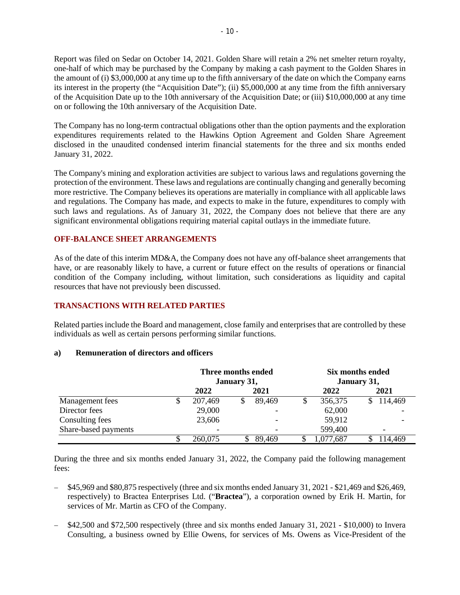Report was filed on Sedar on October 14, 2021. Golden Share will retain a 2% net smelter return royalty, one-half of which may be purchased by the Company by making a cash payment to the Golden Shares in the amount of (i) \$3,000,000 at any time up to the fifth anniversary of the date on which the Company earns its interest in the property (the "Acquisition Date"); (ii) \$5,000,000 at any time from the fifth anniversary of the Acquisition Date up to the 10th anniversary of the Acquisition Date; or (iii) \$10,000,000 at any time on or following the 10th anniversary of the Acquisition Date.

The Company has no long-term contractual obligations other than the option payments and the exploration expenditures requirements related to the Hawkins Option Agreement and Golden Share Agreement disclosed in the unaudited condensed interim financial statements for the three and six months ended January 31, 2022.

The Company's mining and exploration activities are subject to various laws and regulations governing the protection of the environment. These laws and regulations are continually changing and generally becoming more restrictive. The Company believes its operations are materially in compliance with all applicable laws and regulations. The Company has made, and expects to make in the future, expenditures to comply with such laws and regulations. As of January 31, 2022, the Company does not believe that there are any significant environmental obligations requiring material capital outlays in the immediate future.

# **OFF-BALANCE SHEET ARRANGEMENTS**

As of the date of this interim MD&A, the Company does not have any off-balance sheet arrangements that have, or are reasonably likely to have, a current or future effect on the results of operations or financial condition of the Company including, without limitation, such considerations as liquidity and capital resources that have not previously been discussed.

# **TRANSACTIONS WITH RELATED PARTIES**

Related parties include the Board and management, close family and enterprises that are controlled by these individuals as well as certain persons performing similar functions.

#### **a) Remuneration of directors and officers**

|                      |                          | Three months ended<br>January 31, | Six months ended<br>January 31, |          |         |
|----------------------|--------------------------|-----------------------------------|---------------------------------|----------|---------|
|                      | 2022                     | 2021                              |                                 | 2022     | 2021    |
| Management fees      | 207,469                  | 89,469                            |                                 | 356,375  | 114,469 |
| Director fees        | 29,000                   |                                   |                                 | 62,000   |         |
| Consulting fees      | 23,606                   |                                   |                                 | 59,912   |         |
| Share-based payments | $\overline{\phantom{a}}$ |                                   |                                 | 599,400  |         |
|                      | 260.075                  | 89.469                            |                                 | .077,687 | 14.469  |

During the three and six months ended January 31, 2022, the Company paid the following management fees:

- − \$45,969 and \$80,875 respectively (three and six months ended January 31, 2021 \$21,469 and \$26,469, respectively) to Bractea Enterprises Ltd. ("**Bractea**"), a corporation owned by Erik H. Martin, for services of Mr. Martin as CFO of the Company.
- − \$42,500 and \$72,500 respectively (three and six months ended January 31, 2021 \$10,000) to Invera Consulting, a business owned by Ellie Owens, for services of Ms. Owens as Vice-President of the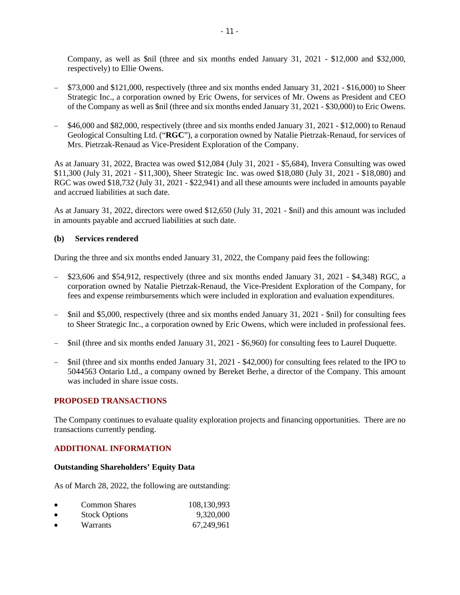Company, as well as \$nil (three and six months ended January 31, 2021 - \$12,000 and \$32,000, respectively) to Ellie Owens.

- − \$73,000 and \$121,000, respectively (three and six months ended January 31, 2021 \$16,000) to Sheer Strategic Inc., a corporation owned by Eric Owens, for services of Mr. Owens as President and CEO of the Company as well as \$nil (three and six months ended January 31, 2021 - \$30,000) to Eric Owens.
- − \$46,000 and \$82,000, respectively (three and six months ended January 31, 2021 \$12,000) to Renaud Geological Consulting Ltd. ("**RGC**"), a corporation owned by Natalie Pietrzak-Renaud, for services of Mrs. Pietrzak-Renaud as Vice-President Exploration of the Company.

As at January 31, 2022, Bractea was owed \$12,084 (July 31, 2021 - \$5,684), Invera Consulting was owed \$11,300 (July 31, 2021 - \$11,300), Sheer Strategic Inc. was owed \$18,080 (July 31, 2021 - \$18,080) and RGC was owed \$18,732 (July 31, 2021 - \$22,941) and all these amounts were included in amounts payable and accrued liabilities at such date.

As at January 31, 2022, directors were owed \$12,650 (July 31, 2021 - \$nil) and this amount was included in amounts payable and accrued liabilities at such date.

# **(b) Services rendered**

During the three and six months ended January 31, 2022, the Company paid fees the following:

- \$23,606 and \$54,912, respectively (three and six months ended January 31, 2021 \$4,348) RGC, a corporation owned by Natalie Pietrzak-Renaud, the Vice-President Exploration of the Company, for fees and expense reimbursements which were included in exploration and evaluation expenditures.
- \$nil and \$5,000, respectively (three and six months ended January 31, 2021 \$nil) for consulting fees to Sheer Strategic Inc., a corporation owned by Eric Owens, which were included in professional fees.
- − \$nil (three and six months ended January 31, 2021 \$6,960) for consulting fees to Laurel Duquette.
- − \$nil (three and six months ended January 31, 2021 \$42,000) for consulting fees related to the IPO to 5044563 Ontario Ltd., a company owned by Bereket Berhe, a director of the Company. This amount was included in share issue costs.

#### **PROPOSED TRANSACTIONS**

The Company continues to evaluate quality exploration projects and financing opportunities. There are no transactions currently pending.

# **ADDITIONAL INFORMATION**

# **Outstanding Shareholders' Equity Data**

As of March 28, 2022, the following are outstanding:

| <b>Common Shares</b> | 108,130,993 |
|----------------------|-------------|
|----------------------|-------------|

- Stock Options 9,320,000
- Warrants 67,249,961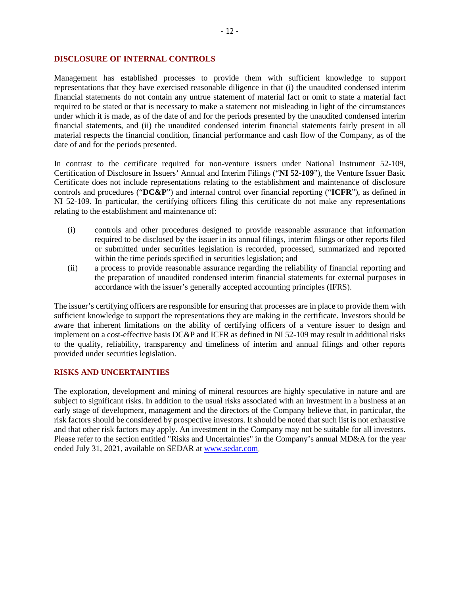#### **DISCLOSURE OF INTERNAL CONTROLS**

Management has established processes to provide them with sufficient knowledge to support representations that they have exercised reasonable diligence in that (i) the unaudited condensed interim financial statements do not contain any untrue statement of material fact or omit to state a material fact required to be stated or that is necessary to make a statement not misleading in light of the circumstances under which it is made, as of the date of and for the periods presented by the unaudited condensed interim financial statements, and (ii) the unaudited condensed interim financial statements fairly present in all material respects the financial condition, financial performance and cash flow of the Company, as of the date of and for the periods presented.

In contrast to the certificate required for non-venture issuers under National Instrument 52-109, Certification of Disclosure in Issuers' Annual and Interim Filings ("**NI 52-109**"), the Venture Issuer Basic Certificate does not include representations relating to the establishment and maintenance of disclosure controls and procedures ("**DC&P**") and internal control over financial reporting ("**ICFR**"), as defined in NI 52-109. In particular, the certifying officers filing this certificate do not make any representations relating to the establishment and maintenance of:

- (i) controls and other procedures designed to provide reasonable assurance that information required to be disclosed by the issuer in its annual filings, interim filings or other reports filed or submitted under securities legislation is recorded, processed, summarized and reported within the time periods specified in securities legislation; and
- (ii) a process to provide reasonable assurance regarding the reliability of financial reporting and the preparation of unaudited condensed interim financial statements for external purposes in accordance with the issuer's generally accepted accounting principles (IFRS).

The issuer's certifying officers are responsible for ensuring that processes are in place to provide them with sufficient knowledge to support the representations they are making in the certificate. Investors should be aware that inherent limitations on the ability of certifying officers of a venture issuer to design and implement on a cost-effective basis DC&P and ICFR as defined in NI 52-109 may result in additional risks to the quality, reliability, transparency and timeliness of interim and annual filings and other reports provided under securities legislation.

#### **RISKS AND UNCERTAINTIES**

The exploration, development and mining of mineral resources are highly speculative in nature and are subject to significant risks. In addition to the usual risks associated with an investment in a business at an early stage of development, management and the directors of the Company believe that, in particular, the risk factors should be considered by prospective investors. It should be noted that such list is not exhaustive and that other risk factors may apply. An investment in the Company may not be suitable for all investors. Please refer to the section entitled "Risks and Uncertainties" in the Company's annual MD&A for the year ended July 31, 2021, available on SEDAR at [www.sedar.com.](http://www.sedar.com/)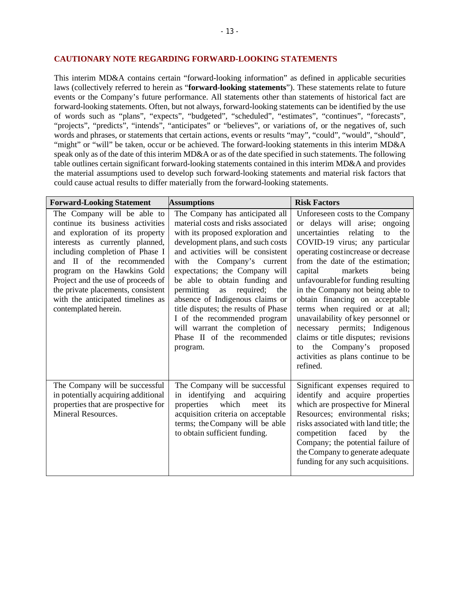#### **CAUTIONARY NOTE REGARDING FORWARD-LOOKING STATEMENTS**

This interim MD&A contains certain "forward-looking information" as defined in applicable securities laws (collectively referred to herein as "**forward-looking statements**"). These statements relate to future events or the Company's future performance. All statements other than statements of historical fact are forward-looking statements. Often, but not always, forward-looking statements can be identified by the use of words such as "plans", "expects", "budgeted", "scheduled", "estimates", "continues", "forecasts", "projects", "predicts", "intends", "anticipates" or "believes", or variations of, or the negatives of, such words and phrases, or statements that certain actions, events or results "may", "could", "would", "should", "might" or "will" be taken, occur or be achieved. The forward-looking statements in this interim MD&A speak only as of the date of this interim MD&A or as of the date specified in such statements. The following table outlines certain significant forward-looking statements contained in this interim MD&A and provides the material assumptions used to develop such forward-looking statements and material risk factors that could cause actual results to differ materially from the forward-looking statements.

| <b>Forward-Looking Statement</b>                                                                                                                                                                                                                                                                                                                                              | <b>Assumptions</b>                                                                                                                                                                                                                                                                                                                                                                                                                                                                                                     | <b>Risk Factors</b>                                                                                                                                                                                                                                                                                                                                                                                                                                                                                                                                                                                 |  |  |
|-------------------------------------------------------------------------------------------------------------------------------------------------------------------------------------------------------------------------------------------------------------------------------------------------------------------------------------------------------------------------------|------------------------------------------------------------------------------------------------------------------------------------------------------------------------------------------------------------------------------------------------------------------------------------------------------------------------------------------------------------------------------------------------------------------------------------------------------------------------------------------------------------------------|-----------------------------------------------------------------------------------------------------------------------------------------------------------------------------------------------------------------------------------------------------------------------------------------------------------------------------------------------------------------------------------------------------------------------------------------------------------------------------------------------------------------------------------------------------------------------------------------------------|--|--|
| The Company will be able to<br>continue its business activities<br>and exploration of its property<br>interests as currently planned,<br>including completion of Phase I<br>and II of the recommended<br>program on the Hawkins Gold<br>Project and the use of proceeds of<br>the private placements, consistent<br>with the anticipated timelines as<br>contemplated herein. | The Company has anticipated all<br>material costs and risks associated<br>with its proposed exploration and<br>development plans, and such costs<br>and activities will be consistent<br>with the Company's current<br>expectations; the Company will<br>be able to obtain funding and<br>permitting<br>required;<br>the<br>as<br>absence of Indigenous claims or<br>title disputes; the results of Phase<br>I of the recommended program<br>will warrant the completion of<br>Phase II of the recommended<br>program. | Unforeseen costs to the Company<br>or delays will arise; ongoing<br>uncertainties relating<br>to<br>the<br>COVID-19 virus; any particular<br>operating costincrease or decrease<br>from the date of the estimation;<br>capital<br>markets<br>being<br>unfavourable for funding resulting<br>in the Company not being able to<br>obtain financing on acceptable<br>terms when required or at all;<br>unavailability of key personnel or<br>necessary permits; Indigenous<br>claims or title disputes; revisions<br>Company's proposed<br>the<br>to<br>activities as plans continue to be<br>refined. |  |  |
| The Company will be successful<br>in potentially acquiring additional<br>properties that are prospective for<br>Mineral Resources.                                                                                                                                                                                                                                            | The Company will be successful<br>in identifying and acquiring<br>properties<br>which<br>meet<br>its<br>acquisition criteria on acceptable<br>terms; the Company will be able<br>to obtain sufficient funding.                                                                                                                                                                                                                                                                                                         | Significant expenses required to<br>identify and acquire properties<br>which are prospective for Mineral<br>Resources; environmental risks;<br>risks associated with land title; the<br>competition<br>faced<br>by<br>the<br>Company; the potential failure of<br>the Company to generate adequate<br>funding for any such acquisitions.                                                                                                                                                                                                                                                            |  |  |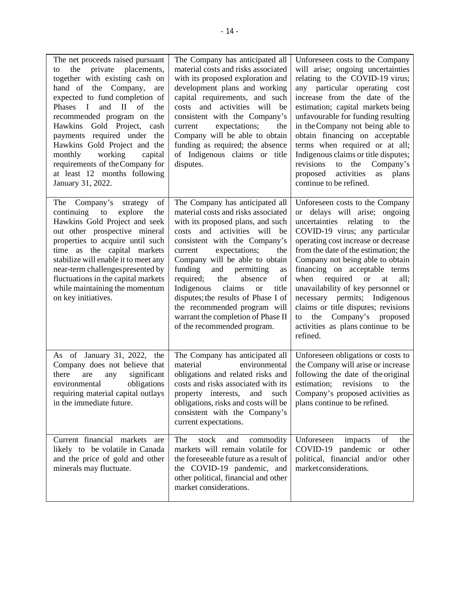| The net proceeds raised pursuant<br>private placements,<br>the<br>to<br>together with existing cash on<br>hand of the Company,<br>are<br>expected to fund completion of<br>$\mathbf{I}$<br>and<br>$\mathbf{H}$<br>Phases<br>of<br>the<br>recommended program on the<br>Hawkins<br>Gold Project, cash<br>payments required under the<br>Hawkins Gold Project and the<br>working<br>monthly<br>capital<br>requirements of the Company for<br>at least 12 months following<br>January 31, 2022. | The Company has anticipated all<br>material costs and risks associated<br>with its proposed exploration and<br>development plans and working<br>capital requirements, and such<br>and<br>activities will<br>be<br>costs<br>consistent with the Company's<br>expectations;<br>the<br>current<br>Company will be able to obtain<br>funding as required; the absence<br>of Indigenous claims or title<br>disputes.                                                                                                              | Unforeseen costs to the Company<br>will arise; ongoing uncertainties<br>relating to the COVID-19 virus;<br>any particular operating cost<br>increase from the date of the<br>estimation; capital markets being<br>unfavourable for funding resulting<br>in the Company not being able to<br>obtain financing on acceptable<br>terms when required or at all;<br>Indigenous claims or title disputes;<br>revisions<br>to the<br>Company's<br>activities<br>proposed<br>plans<br>as<br>continue to be refined.                                       |
|----------------------------------------------------------------------------------------------------------------------------------------------------------------------------------------------------------------------------------------------------------------------------------------------------------------------------------------------------------------------------------------------------------------------------------------------------------------------------------------------|------------------------------------------------------------------------------------------------------------------------------------------------------------------------------------------------------------------------------------------------------------------------------------------------------------------------------------------------------------------------------------------------------------------------------------------------------------------------------------------------------------------------------|----------------------------------------------------------------------------------------------------------------------------------------------------------------------------------------------------------------------------------------------------------------------------------------------------------------------------------------------------------------------------------------------------------------------------------------------------------------------------------------------------------------------------------------------------|
| of<br>Company's<br>The<br>strategy<br>continuing<br>to<br>explore<br>the<br>Hawkins Gold Project and seek<br>out other prospective mineral<br>properties to acquire until such<br>time as the capital markets<br>stabilize will enable it to meet any<br>near-term challenges presented by<br>fluctuations in the capital markets<br>while maintaining the momentum<br>on key initiatives.                                                                                                   | The Company has anticipated all<br>material costs and risks associated<br>with its proposed plans, and such<br>and activities will<br>be<br>costs<br>consistent with the Company's<br>expectations;<br>the<br>current<br>Company will be able to obtain<br>funding<br>and<br>permitting<br>as<br>required;<br>the<br>of<br>absence<br>Indigenous<br>claims<br>title<br><b>or</b><br>disputes; the results of Phase I of<br>the recommended program will<br>warrant the completion of Phase II<br>of the recommended program. | Unforeseen costs to the Company<br>or delays will arise; ongoing<br>uncertainties relating<br>to<br>the<br>COVID-19 virus; any particular<br>operating cost increase or decrease<br>from the date of the estimation; the<br>Company not being able to obtain<br>financing on acceptable terms<br>required<br>when<br><b>or</b><br>all;<br>at<br>unavailability of key personnel or<br>necessary permits; Indigenous<br>claims or title disputes; revisions<br>Company's<br>proposed<br>the<br>to<br>activities as plans continue to be<br>refined. |
| As of January 31, 2022, the<br>Company does not believe that<br>significant<br>there<br>are<br>any<br>obligations<br>environmental<br>requiring material capital outlays<br>in the immediate future.                                                                                                                                                                                                                                                                                         | The Company has anticipated all<br>environmental<br>material<br>obligations and related risks and<br>costs and risks associated with its<br>property interests,<br>and<br>such<br>obligations, risks and costs will be<br>consistent with the Company's<br>current expectations.                                                                                                                                                                                                                                             | Unforeseen obligations or costs to<br>the Company will arise or increase<br>following the date of the original<br>estimation;<br>revisions<br>the<br>to<br>Company's proposed activities as<br>plans continue to be refined.                                                                                                                                                                                                                                                                                                                       |
| Current financial markets<br>are<br>likely to be volatile in Canada<br>and the price of gold and other<br>minerals may fluctuate.                                                                                                                                                                                                                                                                                                                                                            | The<br>stock<br>and<br>commodity<br>markets will remain volatile for<br>the foreseeable future as a result of<br>the COVID-19 pandemic, and<br>other political, financial and other<br>market considerations.                                                                                                                                                                                                                                                                                                                | Unforeseen<br>of<br>the<br>impacts<br>COVID-19 pandemic or<br>other<br>political, financial and/or other<br>market considerations.                                                                                                                                                                                                                                                                                                                                                                                                                 |